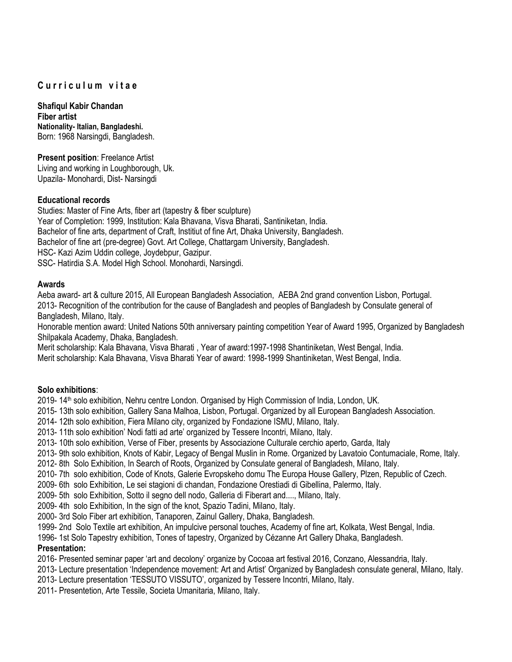# **C u r r i c u l u m v i t a e**

**Shafiqul Kabir Chandan Fiber artist Nationality- Italian, Bangladeshi.** Born: 1968 Narsingdi, Bangladesh.

**Present position**: Freelance Artist Living and working in Loughborough, Uk. Upazila- Monohardi, Dist- Narsingdi

## **Educational records**

Studies: Master of Fine Arts, fiber art (tapestry & fiber sculpture) Year of Completion: 1999, Institution: Kala Bhavana, Visva Bharati, Santiniketan, India. Bachelor of fine arts, department of Craft, Institiut of fine Art, Dhaka University, Bangladesh. Bachelor of fine art (pre-degree) Govt. Art College, Chattargam University, Bangladesh. HSC- Kazi Azim Uddin college, Joydebpur, Gazipur. SSC- Hatirdia S.A. Model High School. Monohardi, Narsingdi.

### **Awards**

Aeba award- art & culture 2015, All European Bangladesh Association, AEBA 2nd grand convention Lisbon, Portugal. 2013- Recognition of the contribution for the cause of Bangladesh and peoples of Bangladesh by Consulate general of Bangladesh, Milano, Italy.

Honorable mention award: United Nations 50th anniversary painting competition Year of Award 1995, Organized by Bangladesh Shilpakala Academy, Dhaka, Bangladesh.

Merit scholarship: Kala Bhavana, Visva Bharati , Year of award:1997-1998 Shantiniketan, West Bengal, India. Merit scholarship: Kala Bhavana, Visva Bharati Year of award: 1998-1999 Shantiniketan, West Bengal, India.

#### **Solo exhibitions**:

2019- 14<sup>th</sup> solo exhibition, Nehru centre London. Organised by High Commission of India, London, UK.

- 2015- 13th solo exhibition, Gallery Sana Malhoa, Lisbon, Portugal. Organized by all European Bangladesh Association.
- 2014- 12th solo exhibition, Fiera Milano city, organized by Fondazione ISMU, Milano, Italy.
- 2013- 11th solo exhibition' Nodi fatti ad arte' organized by Tessere Incontri, Milano, Italy.
- 2013- 10th solo exhibition, Verse of Fiber, presents by Associazione Culturale cerchio aperto, Garda, Italy
- 2013- 9th solo exhibition, Knots of Kabir, Legacy of Bengal Muslin in Rome. Organized by Lavatoio Contumaciale, Rome, Italy.
- 2012- 8th Solo Exhibition, In Search of Roots, Organized by Consulate general of Bangladesh, Milano, Italy.
- 2010- 7th solo exhibition, Code of Knots, Galerie Evropskeho domu The Europa House Gallery, Plzen, Republic of Czech.
- 2009- 6th solo Exhibition, Le sei stagioni di chandan, Fondazione Orestiadi di Gibellina, Palermo, Italy.
- 2009- 5th solo Exhibition, Sotto il segno dell nodo, Galleria di Fiberart and...., Milano, Italy.
- 2009- 4th solo Exhibition, In the sign of the knot, Spazio Tadini, Milano, Italy.
- 2000- 3rd Solo Fiber art exhibition, Tanaporen, Zainul Gallery, Dhaka, Bangladesh.
- 1999- 2nd Solo Textile art exhibition, An impulcive personal touches, Academy of fine art, Kolkata, West Bengal, India.
- 1996- 1st Solo Tapestry exhibition, Tones of tapestry, Organized by Cézanne Art Gallery Dhaka, Bangladesh.

## **Presentation:**

- 2016- Presented seminar paper 'art and decolony' organize by Cocoaa art festival 2016, Conzano, Alessandria, Italy.
- 2013- Lecture presentation 'Independence movement: Art and Artist' Organized by Bangladesh consulate general, Milano, Italy.
- 2013- Lecture presentation 'TESSUTO VISSUTO', organized by Tessere Incontri, Milano, Italy.
- 2011- Presentetion, Arte Tessile, Societa Umanitaria, Milano, Italy.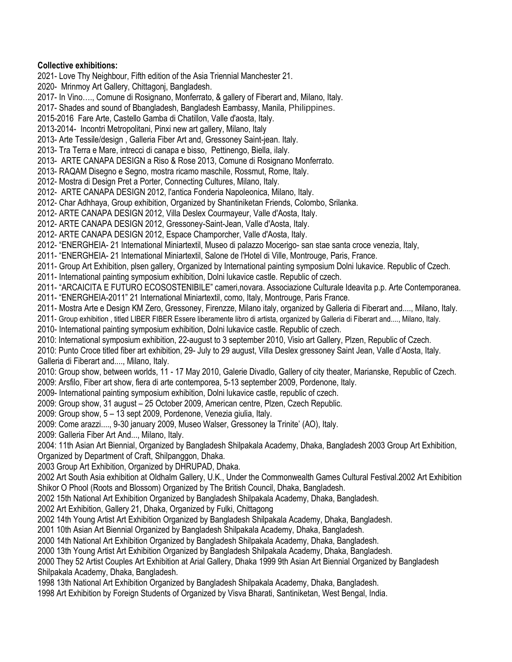### **Collective exhibitions:**

2021- Love Thy Neighbour, Fifth edition of the Asia Triennial Manchester 21. 2020- Mrinmoy Art Gallery, Chittagonj, Bangladesh. 2017- In Vino…., Comune di Rosignano, Monferrato, & gallery of Fiberart and, Milano, Italy. 2017- Shades and sound of Bbangladesh, Bangladesh Eambassy, Manila, Philippines. 2015-2016 Fare Arte, Castello Gamba di Chatillon, Valle d'aosta, Italy. 2013-2014- Incontri Metropolitani, Pinxi new art gallery, Milano, Italy 2013- Arte Tessile/design , Galleria Fiber Art and, Gressoney Saint-jean. Italy. 2013- Tra Terra e Mare, intrecci di canapa e bisso, Pettinengo, Biella, iIaly. 2013- ARTE CANAPA DESIGN a Riso & Rose 2013, Comune di Rosignano Monferrato. 2013- RAQAM Disegno e Segno, mostra ricamo maschile, Rossmut, Rome, Italy. 2012- Mostra di Design Pret a Porter, Connecting Cultures, Milano, Italy. 2012- ARTE CANAPA DESIGN 2012, l'antica Fonderia Napoleonica, Milano, Italy. 2012- Char Adhhaya, Group exhibition, Organized by Shantiniketan Friends, Colombo, Srilanka. 2012- ARTE CANAPA DESIGN 2012, Villa Deslex Courmayeur, Valle d'Aosta, Italy. 2012- ARTE CANAPA DESIGN 2012, Gressoney-Saint-Jean, Valle d'Aosta, Italy. 2012- ARTE CANAPA DESIGN 2012, Espace Champorcher, Valle d'Aosta, Italy. 2012- "ENERGHEIA- 21 International Miniartextil, Museo di palazzo Mocerigo- san stae santa croce venezia, Italy, 2011- "ENERGHEIA- 21 International Miniartextil, Salone de l'Hotel di Ville, Montrouge, Paris, France. 2011- Group Art Exhibition, plsen gallery, Organized by International painting symposium Dolni lukavice. Republic of Czech. 2011- International painting symposium exhibition, Dolni lukavice castle. Republic of czech. 2011- "ARCAICITA E FUTURO ECOSOSTENIBILE" cameri,novara. Associazione Culturale Ideavita p.p. Arte Contemporanea. 2011- "ENERGHEIA-2011" 21 International Miniartextil, como, Italy, Montrouge, Paris France. 2011- Mostra Arte e Design KM Zero, Gressoney, Firenzze, Milano italy, organized by Galleria di Fiberart and...., Milano, Italy. 2011- Group exhibition , titled LIBER FIBER Essere liberamente libro di artista, organized by Galleria di Fiberart and...., Milano, Italy. 2010- International painting symposium exhibition, Dolni lukavice castle. Republic of czech.

2010: International symposium exhibition, 22-august to 3 september 2010, Visio art Gallery, Plzen, Republic of Czech.

2010: Punto Croce titled fiber art exhibition, 29- July to 29 august, Villa Deslex gressoney Saint Jean, Valle d'Aosta, Italy. Galleria di Fiberart and...., Milano, Italy.

2010: Group show, between worlds, 11 - 17 May 2010, Galerie Divadlo, Gallery of city theater, Marianske, Republic of Czech. 2009: Arsfilo, Fiber art show, fiera di arte contemporea, 5-13 september 2009, Pordenone, Italy.

2009- International painting symposium exhibition, Dolni lukavice castle, republic of czech.

2009: Group show, 31 august – 25 October 2009, American centre, Plzen, Czech Republic.

2009: Group show, 5 – 13 sept 2009, Pordenone, Venezia giulia, Italy.

2009: Come arazzi...., 9-30 january 2009, Museo Walser, Gressoney la Trinite' (AO), Italy.

2009: Galleria Fiber Art And..., Milano, Italy.

2004: 11th Asian Art Biennial, Organized by Bangladesh Shilpakala Academy, Dhaka, Bangladesh 2003 Group Art Exhibition, Organized by Department of Craft, Shilpanggon, Dhaka.

2003 Group Art Exhibition, Organized by DHRUPAD, Dhaka.

2002 Art South Asia exhibition at Oldhalm Gallery, U.K., Under the Commonwealth Games Cultural Festival.2002 Art Exhibition Shikor O Phool (Roots and Blossom) Organized by The British Council, Dhaka, Bangladesh.

2002 15th National Art Exhibition Organized by Bangladesh Shilpakala Academy, Dhaka, Bangladesh.

2002 Art Exhibition, Gallery 21, Dhaka, Organized by Fulki, Chittagong

2002 14th Young Artist Art Exhibition Organized by Bangladesh Shilpakala Academy, Dhaka, Bangladesh.

2001 10th Asian Art Biennial Organized by Bangladesh Shilpakala Academy, Dhaka, Bangladesh.

2000 14th National Art Exhibition Organized by Bangladesh Shilpakala Academy, Dhaka, Bangladesh.

2000 13th Young Artist Art Exhibition Organized by Bangladesh Shilpakala Academy, Dhaka, Bangladesh.

2000 They 52 Artist Couples Art Exhibition at Arial Gallery, Dhaka 1999 9th Asian Art Biennial Organized by Bangladesh Shilpakala Academy, Dhaka, Bangladesh.

1998 13th National Art Exhibition Organized by Bangladesh Shilpakala Academy, Dhaka, Bangladesh.

1998 Art Exhibition by Foreign Students of Organized by Visva Bharati, Santiniketan, West Bengal, India.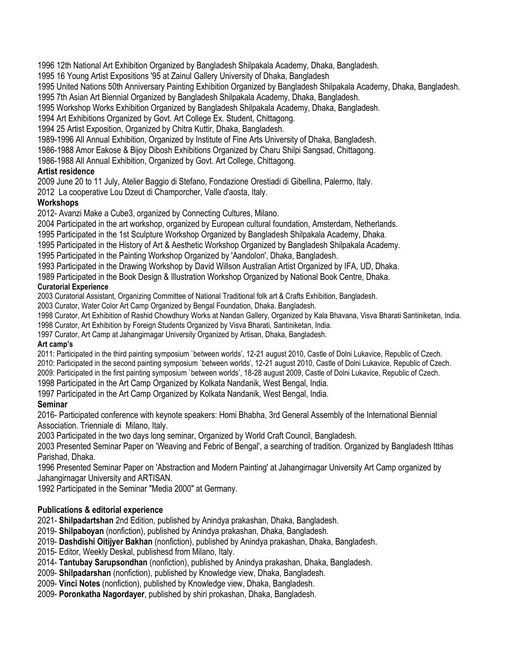1996 12th National Art Exhibition Organized by Bangladesh Shilpakala Academy, Dhaka, Bangladesh.

1995 16 Young Artist Expositions '95 at Zainul Gallery University of Dhaka, Bangladesh

1995 United Nations 50th Anniversary Painting Exhibition Organized by Bangladesh Shilpakala Academy, Dhaka, Bangladesh.

1995 7th Asian Art Biennial Organized by Bangladesh Shilpakala Academy, Dhaka, Bangladesh.

1995 Workshop Works Exhibition Organized by Bangladesh Shilpakala Academy, Dhaka, Bangladesh.

1994 Art Exhibitions Organized by Govt. Art College Ex. Student, Chittagong.

1994 25 Artist Exposition, Organized by Chitra Kuttir, Dhaka, Bangladesh.

1989-1996 All Annual Exhibition, Organized by Institute of Fine Arts University of Dhaka, Bangladesh.

1986-1988 Amor Eakose & Bijoy Dibosh Exhibitions Organized by Charu Shilpi Sangsad, Chittagong.

1986-1988 All Annual Exhibition, Organized by Govt. Art College, Chittagong.

# **Artist residence**

2009 June 20 to 11 July, Atelier Baggio di Stefano, Fondazione Orestiadi di Gibellina, Palermo, Italy.

2012 La cooperative Lou Dzeut di Champorcher, Valle d'aosta, Italy.

# **Workshops**

2012- Avanzi Make a Cube3, organized by Connecting Cultures, Milano.

2004 Participated in the art workshop, organized by European cultural foundation, Amsterdam, Netherlands.

1995 Participated in the 1st Sculpture Workshop Organized by Bangladesh Shilpakala Academy, Dhaka.

1995 Participated in the History of Art & Aesthetic Workshop Organized by Bangladesh Shilpakala Academy.

1995 Participated in the Painting Workshop Organized by 'Aandolon', Dhaka, Bangladesh.

1993 Participated in the Drawing Workshop by David Willson Australian Artist Organized by IFA, UD, Dhaka.

1989 Participated in the Book Design & Illustration Workshop Organized by National Book Centre, Dhaka.

## **Curatorial Experience**

2003 Curatorial Assistant, Organizing Committee of National Traditional folk art & Crafts Exhibition, Bangladesh.

2003 Curator, Water Color Art Camp Organized by Bengal Foundation, Dhaka. Bangladesh.

1998 Curator, Art Exhibition of Rashid Chowdhury Works at Nandan Gallery, Organized by Kala Bhavana, Visva Bharati Santiniketan, India.

1998 Curator, Art Exhibition by Foreign Students Organized by Visva Bharati, Santiniketan, India.

1997 Curator, Art Camp at Jahangirnagar University Organized by Artisan, Dhaka, Bangladesh.

## **Art camp's**

2011: Participated in the third painting symposium `between worlds', 12-21 august 2010, Castle of Dolni Lukavice, Republic of Czech.

2010: Participated in the second painting symposium `between worlds', 12-21 august 2010, Castle of Dolni Lukavice, Republic of Czech.

2009: Participated in the first painting symposium `between worlds', 18-28 august 2009, Castle of Dolni Lukavice, Republic of Czech.

1998 Participated in the Art Camp Organized by Kolkata Nandanik, West Bengal, India.

1997 Participated in the Art Camp Organized by Kolkata Nandanik, West Bengal, India.

# **Seminar**

2016- Participated conference with keynote speakers: Homi Bhabha, 3rd General Assembly of the International Biennial Association. Trienniale di Milano, Italy.

2003 Participated in the two days long seminar, Organized by World Craft Council, Bangladesh.

2003 Presented Seminar Paper on 'Weaving and Febric of Bengal', a searching of tradition. Organized by Bangladesh Ittihas Parishad, Dhaka.

1996 Presented Seminar Paper on 'Abstraction and Modern Painting' at Jahangirnagar University Art Camp organized by Jahangirnagar University and ARTISAN.

1992 Participated in the Seminar "Media 2000" at Germany.

# **Publications & editorial experience**

2021- **Shilpadartshan** 2nd Edition, published by Anindya prakashan, Dhaka, Bangladesh.

2019- **Shilpaboyan** (nonfiction), published by Anindya prakashan, Dhaka, Bangladesh.

2019- **Dashdishi Oitijyer Bakhan** (nonfiction), published by Anindya prakashan, Dhaka, Bangladesh.

2015- Editor, Weekly Deskal, publishesd from Milano, Italy.

2014- **Tantubay Sarupsondhan** (nonfiction), published by Anindya prakashan, Dhaka, Bangladesh.

2009- **Shilpadarshan** (nonfiction), published by Knowledge view, Dhaka, Bangladesh.

2009- **Vinci Notes** (nonfiction), published by Knowledge view, Dhaka, Bangladesh.

2009- **Poronkatha Nagordayer**, published by shiri prokashan, Dhaka, Bangladesh.